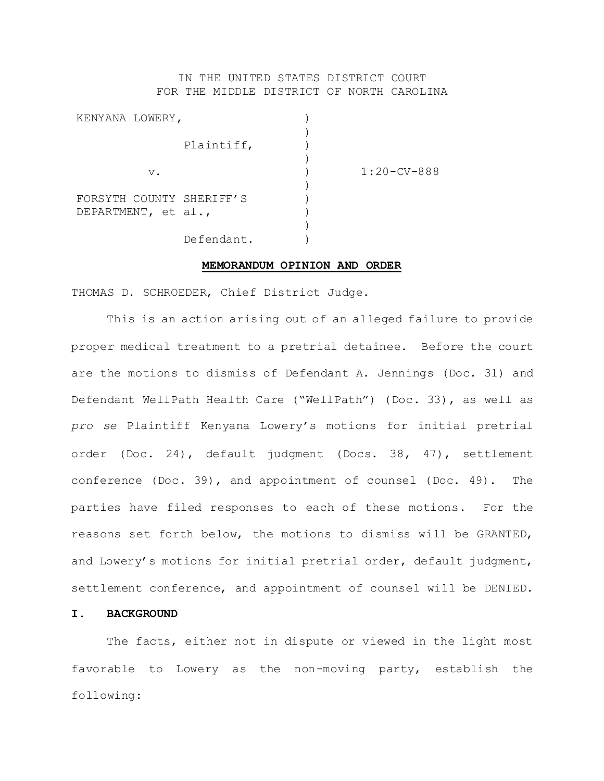## IN THE UNITED STATES DISTRICT COURT FOR THE MIDDLE DISTRICT OF NORTH CAROLINA

| KENYANA LOWERY,          |            |                   |  |
|--------------------------|------------|-------------------|--|
|                          | Plaintiff, |                   |  |
| $V$ .                    |            | $1:20$ – CV – 888 |  |
| FORSYTH COUNTY SHERIFF'S |            |                   |  |
| DEPARTMENT, et al.,      |            |                   |  |
|                          | Defendant. |                   |  |

## **MEMORANDUM OPINION AND ORDER**

THOMAS D. SCHROEDER, Chief District Judge.

This is an action arising out of an alleged failure to provide proper medical treatment to a pretrial detainee. Before the court are the motions to dismiss of Defendant A. Jennings (Doc. 31) and Defendant WellPath Health Care ("WellPath") (Doc. 33), as well as *pro se* Plaintiff Kenyana Lowery's motions for initial pretrial order (Doc. 24), default judgment (Docs. 38, 47), settlement conference (Doc. 39), and appointment of counsel (Doc. 49). The parties have filed responses to each of these motions. For the reasons set forth below, the motions to dismiss will be GRANTED, and Lowery's motions for initial pretrial order, default judgment, settlement conference, and appointment of counsel will be DENIED.

## **I. BACKGROUND**

The facts, either not in dispute or viewed in the light most favorable to Lowery as the non-moving party, establish the following: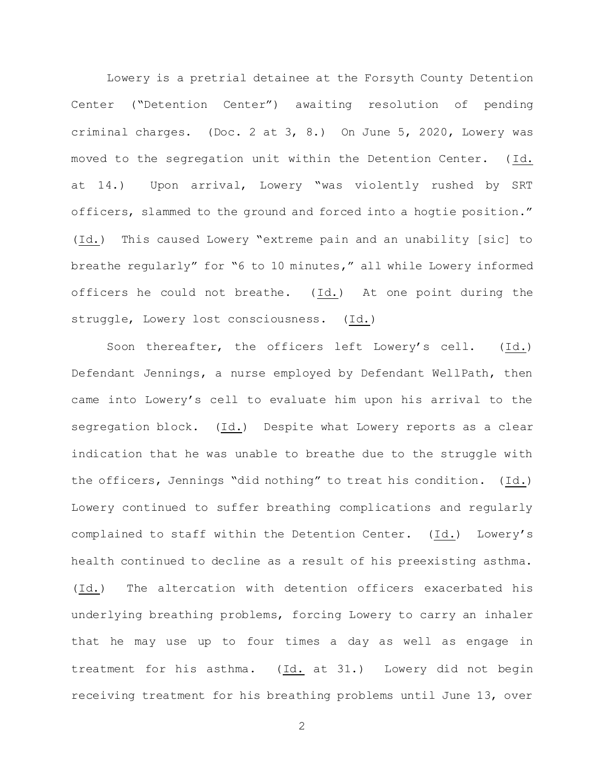Lowery is a pretrial detainee at the Forsyth County Detention Center ("Detention Center") awaiting resolution of pending criminal charges. (Doc. 2 at 3, 8.) On June 5, 2020, Lowery was moved to the segregation unit within the Detention Center. (Id. at 14.) Upon arrival, Lowery "was violently rushed by SRT officers, slammed to the ground and forced into a hogtie position." (Id.) This caused Lowery "extreme pain and an unability [sic] to breathe regularly" for "6 to 10 minutes," all while Lowery informed officers he could not breathe. (Id.) At one point during the struggle, Lowery lost consciousness. (Id.)

Soon thereafter, the officers left Lowery's cell. (Id.) Defendant Jennings, a nurse employed by Defendant WellPath, then came into Lowery's cell to evaluate him upon his arrival to the segregation block.  $(Id.)$  Despite what Lowery reports as a clear indication that he was unable to breathe due to the struggle with the officers, Jennings "did nothing" to treat his condition. (Id.) Lowery continued to suffer breathing complications and regularly complained to staff within the Detention Center. (Id.) Lowery's health continued to decline as a result of his preexisting asthma. (Id.) The altercation with detention officers exacerbated his underlying breathing problems, forcing Lowery to carry an inhaler that he may use up to four times a day as well as engage in treatment for his asthma. (Id. at 31.) Lowery did not begin receiving treatment for his breathing problems until June 13, over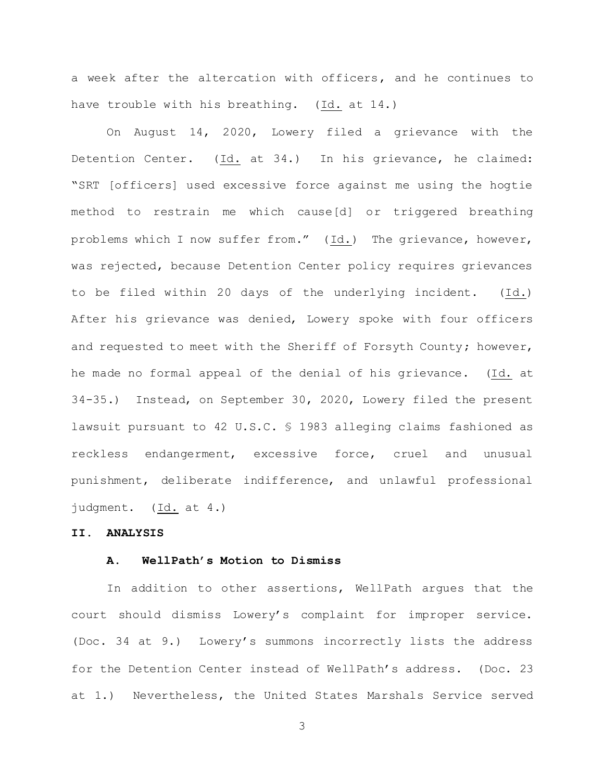a week after the altercation with officers, and he continues to have trouble with his breathing. (Id. at 14.)

On August 14, 2020, Lowery filed a grievance with the Detention Center. (Id. at 34.) In his grievance, he claimed: "SRT [officers] used excessive force against me using the hogtie method to restrain me which cause[d] or triggered breathing problems which I now suffer from." (Id.) The grievance, however, was rejected, because Detention Center policy requires grievances to be filed within 20 days of the underlying incident. (Id.) After his grievance was denied, Lowery spoke with four officers and requested to meet with the Sheriff of Forsyth County; however, he made no formal appeal of the denial of his grievance. (Id. at 34-35.) Instead, on September 30, 2020, Lowery filed the present lawsuit pursuant to 42 U.S.C. § 1983 alleging claims fashioned as reckless endangerment, excessive force, cruel and unusual punishment, deliberate indifference, and unlawful professional judgment. (Id. at 4.)

### **II. ANALYSIS**

## **A. WellPath's Motion to Dismiss**

In addition to other assertions, WellPath argues that the court should dismiss Lowery's complaint for improper service. (Doc. 34 at 9.) Lowery's summons incorrectly lists the address for the Detention Center instead of WellPath's address. (Doc. 23 at 1.) Nevertheless, the United States Marshals Service served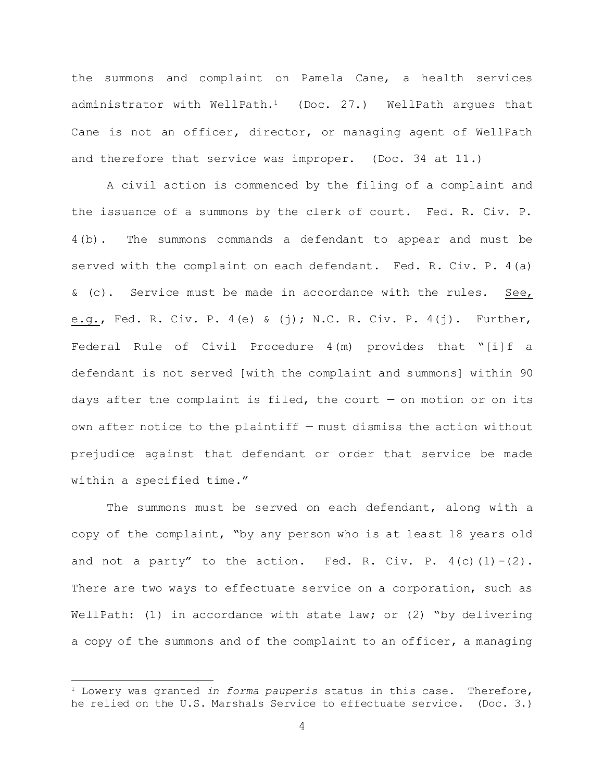the summons and complaint on Pamela Cane, a health services administrator with WellPath.1 (Doc. 27.) WellPath argues that Cane is not an officer, director, or managing agent of WellPath and therefore that service was improper. (Doc. 34 at 11.)

A civil action is commenced by the filing of a complaint and the issuance of a summons by the clerk of court. Fed. R. Civ. P. 4(b). The summons commands a defendant to appear and must be served with the complaint on each defendant. Fed. R. Civ. P. 4(a) & (c). Service must be made in accordance with the rules. See, e.g., Fed. R. Civ. P. 4(e) & (j); N.C. R. Civ. P. 4(j). Further, Federal Rule of Civil Procedure 4(m) provides that "[i]f a defendant is not served [with the complaint and summons] within 90 days after the complaint is filed, the court  $-$  on motion or on its own after notice to the plaintiff — must dismiss the action without prejudice against that defendant or order that service be made within a specified time."

The summons must be served on each defendant, along with a copy of the complaint, "by any person who is at least 18 years old and not a party" to the action. Fed. R. Civ. P.  $4(c)$  (1) - (2). There are two ways to effectuate service on a corporation, such as WellPath: (1) in accordance with state law; or (2) "by delivering a copy of the summons and of the complaint to an officer, a managing

<sup>1</sup> Lowery was granted *in forma pauperis* status in this case. Therefore, he relied on the U.S. Marshals Service to effectuate service. (Doc. 3.)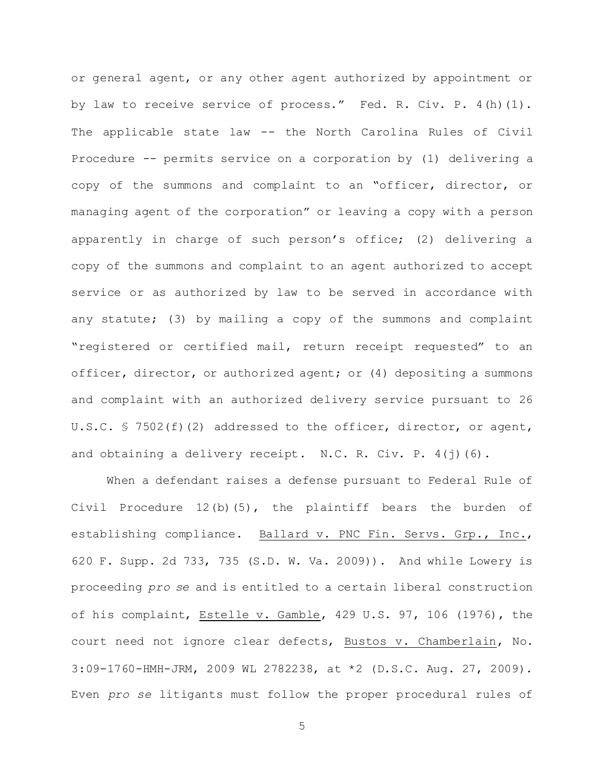or general agent, or any other agent authorized by appointment or by law to receive service of process." Fed. R. Civ. P. 4(h)(1). The applicable state law -- the North Carolina Rules of Civil Procedure -- permits service on a corporation by (1) delivering a copy of the summons and complaint to an "officer, director, or managing agent of the corporation" or leaving a copy with a person apparently in charge of such person's office; (2) delivering a copy of the summons and complaint to an agent authorized to accept service or as authorized by law to be served in accordance with any statute; (3) by mailing a copy of the summons and complaint "registered or certified mail, return receipt requested" to an officer, director, or authorized agent; or (4) depositing a summons and complaint with an authorized delivery service pursuant to 26 U.S.C. § 7502(f)(2) addressed to the officer, director, or agent, and obtaining a delivery receipt. N.C. R. Civ. P. 4(j)(6).

When a defendant raises a defense pursuant to Federal Rule of Civil Procedure 12(b)(5), the plaintiff bears the burden of establishing compliance. Ballard v. PNC Fin. Servs. Grp., Inc., 620 F. Supp. 2d 733, 735 (S.D. W. Va. 2009)). And while Lowery is proceeding *pro se* and is entitled to a certain liberal construction of his complaint, Estelle v. Gamble, 429 U.S. 97, 106 (1976), the court need not ignore clear defects, Bustos v. Chamberlain, No. 3:09-1760-HMH-JRM, 2009 WL 2782238, at \*2 (D.S.C. Aug. 27, 2009). Even *pro se* litigants must follow the proper procedural rules of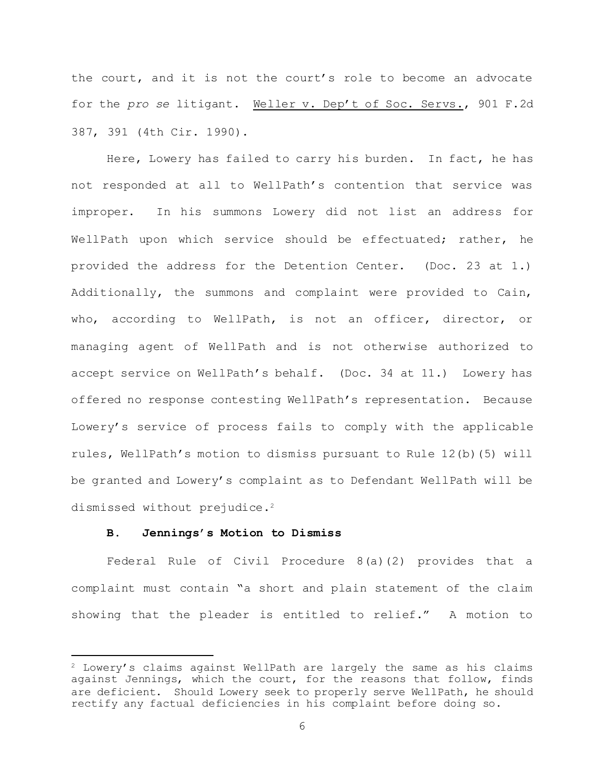the court, and it is not the court's role to become an advocate for the *pro se* litigant. Weller v. Dep't of Soc. Servs., 901 F.2d 387, 391 (4th Cir. 1990).

Here, Lowery has failed to carry his burden. In fact, he has not responded at all to WellPath's contention that service was improper. In his summons Lowery did not list an address for WellPath upon which service should be effectuated; rather, he provided the address for the Detention Center. (Doc. 23 at 1.) Additionally, the summons and complaint were provided to Cain, who, according to WellPath, is not an officer, director, or managing agent of WellPath and is not otherwise authorized to accept service on WellPath's behalf. (Doc. 34 at 11.) Lowery has offered no response contesting WellPath's representation. Because Lowery's service of process fails to comply with the applicable rules, WellPath's motion to dismiss pursuant to Rule 12(b)(5) will be granted and Lowery's complaint as to Defendant WellPath will be dismissed without prejudice.<sup>2</sup>

### **B. Jennings's Motion to Dismiss**

L,

Federal Rule of Civil Procedure 8(a)(2) provides that a complaint must contain "a short and plain statement of the claim showing that the pleader is entitled to relief." A motion to

<sup>2</sup> Lowery's claims against WellPath are largely the same as his claims against Jennings, which the court, for the reasons that follow, finds are deficient. Should Lowery seek to properly serve WellPath, he should rectify any factual deficiencies in his complaint before doing so.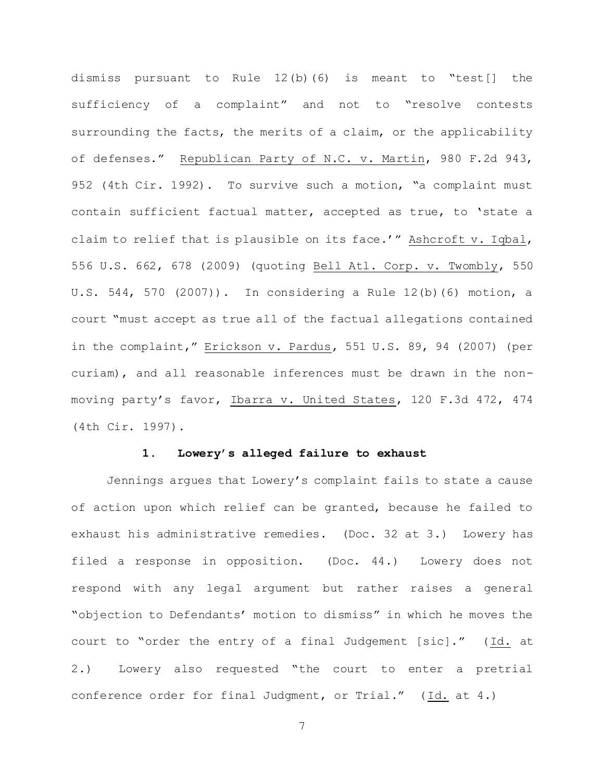dismiss pursuant to Rule 12(b)(6) is meant to "test[] the sufficiency of a complaint" and not to "resolve contests surrounding the facts, the merits of a claim, or the applicability of defenses." Republican Party of N.C. v. Martin, 980 F.2d 943, 952 (4th Cir. 1992). To survive such a motion, "a complaint must contain sufficient factual matter, accepted as true, to 'state a claim to relief that is plausible on its face.'" Ashcroft v. Iqbal, 556 U.S. 662, 678 (2009) (quoting Bell Atl. Corp. v. Twombly, 550 U.S. 544, 570 (2007)). In considering a Rule 12(b)(6) motion, a court "must accept as true all of the factual allegations contained in the complaint," Erickson v. Pardus, 551 U.S. 89, 94 (2007) (per curiam), and all reasonable inferences must be drawn in the nonmoving party's favor, Ibarra v. United States, 120 F.3d 472, 474 (4th Cir. 1997).

## **1. Lowery's alleged failure to exhaust**

Jennings argues that Lowery's complaint fails to state a cause of action upon which relief can be granted, because he failed to exhaust his administrative remedies. (Doc. 32 at 3.) Lowery has filed a response in opposition. (Doc. 44.) Lowery does not respond with any legal argument but rather raises a general "objection to Defendants' motion to dismiss" in which he moves the court to "order the entry of a final Judgement [sic]." (Id. at 2.) Lowery also requested "the court to enter a pretrial conference order for final Judgment, or Trial." (Id. at 4.)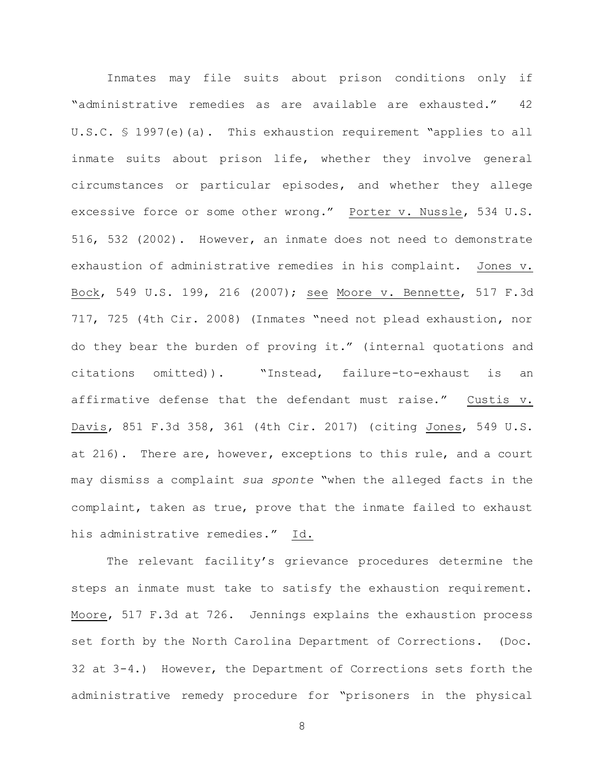Inmates may file suits about prison conditions only if "administrative remedies as are available are exhausted." 42 U.S.C. § 1997(e)(a). This exhaustion requirement "applies to all inmate suits about prison life, whether they involve general circumstances or particular episodes, and whether they allege excessive force or some other wrong." Porter v. Nussle, 534 U.S. 516, 532 (2002). However, an inmate does not need to demonstrate exhaustion of administrative remedies in his complaint. Jones v. Bock, 549 U.S. 199, 216 (2007); see Moore v. Bennette, 517 F.3d 717, 725 (4th Cir. 2008) (Inmates "need not plead exhaustion, nor do they bear the burden of proving it." (internal quotations and citations omitted)). "Instead, failure-to-exhaust is an affirmative defense that the defendant must raise." Custis v. Davis, 851 F.3d 358, 361 (4th Cir. 2017) (citing Jones, 549 U.S. at 216). There are, however, exceptions to this rule, and a court may dismiss a complaint *sua sponte* "when the alleged facts in the complaint, taken as true, prove that the inmate failed to exhaust his administrative remedies." Id.

The relevant facility's grievance procedures determine the steps an inmate must take to satisfy the exhaustion requirement. Moore, 517 F.3d at 726. Jennings explains the exhaustion process set forth by the North Carolina Department of Corrections. (Doc. 32 at 3-4.) However, the Department of Corrections sets forth the administrative remedy procedure for "prisoners in the physical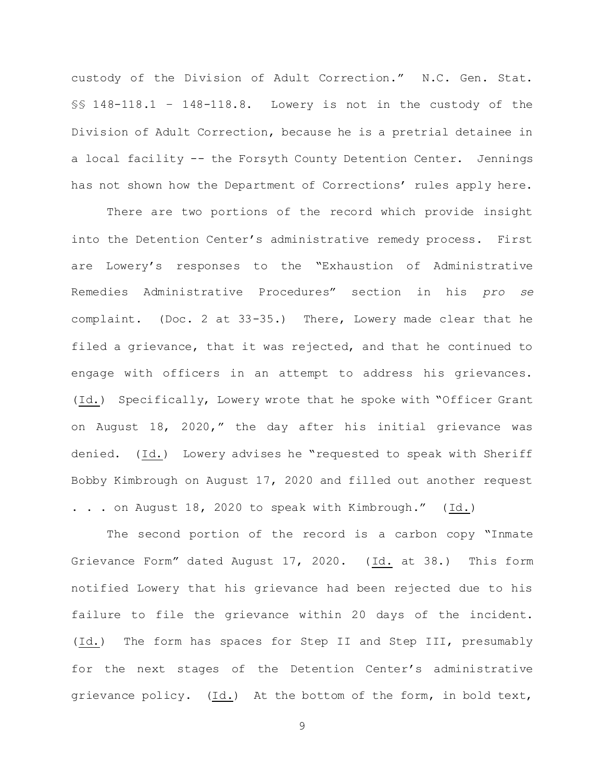custody of the Division of Adult Correction." N.C. Gen. Stat. §§ 148-118.1 – 148-118.8. Lowery is not in the custody of the Division of Adult Correction, because he is a pretrial detainee in a local facility -- the Forsyth County Detention Center. Jennings has not shown how the Department of Corrections' rules apply here.

There are two portions of the record which provide insight into the Detention Center's administrative remedy process. First are Lowery's responses to the "Exhaustion of Administrative Remedies Administrative Procedures" section in his *pro se* complaint. (Doc. 2 at 33-35.) There, Lowery made clear that he filed a grievance, that it was rejected, and that he continued to engage with officers in an attempt to address his grievances. (Id.) Specifically, Lowery wrote that he spoke with "Officer Grant on August 18, 2020," the day after his initial grievance was denied. (Id.) Lowery advises he "requested to speak with Sheriff Bobby Kimbrough on August 17, 2020 and filled out another request . . . on August 18, 2020 to speak with Kimbrough." (Id.)

The second portion of the record is a carbon copy "Inmate Grievance Form" dated August 17, 2020. (Id. at 38.) This form notified Lowery that his grievance had been rejected due to his failure to file the grievance within 20 days of the incident. (Id.) The form has spaces for Step II and Step III, presumably for the next stages of the Detention Center's administrative grievance policy. (Id.) At the bottom of the form, in bold text,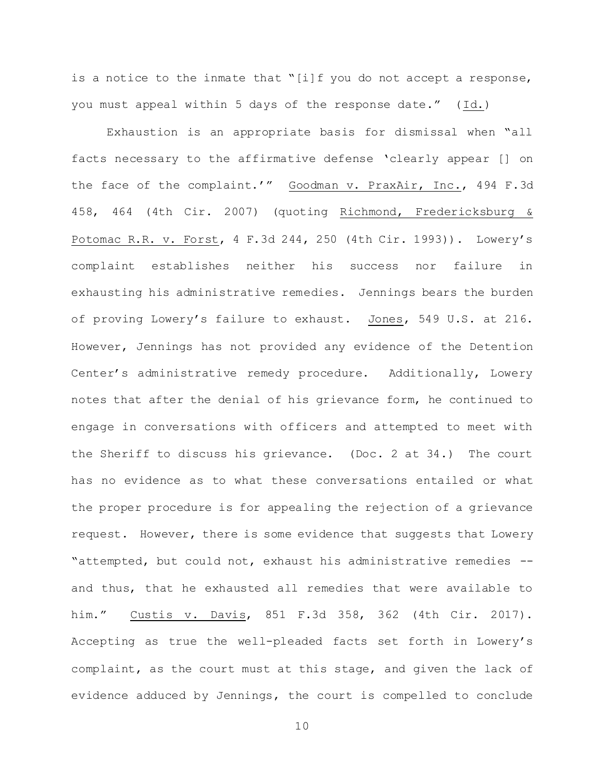is a notice to the inmate that "[i]f you do not accept a response, you must appeal within 5 days of the response date." (Id.)

Exhaustion is an appropriate basis for dismissal when "all facts necessary to the affirmative defense 'clearly appear [] on the face of the complaint.'" Goodman v. PraxAir, Inc., 494 F.3d 458, 464 (4th Cir. 2007) (quoting Richmond, Fredericksburg & Potomac R.R. v. Forst, 4 F.3d 244, 250 (4th Cir. 1993)). Lowery's complaint establishes neither his success nor failure in exhausting his administrative remedies. Jennings bears the burden of proving Lowery's failure to exhaust. Jones, 549 U.S. at 216. However, Jennings has not provided any evidence of the Detention Center's administrative remedy procedure. Additionally, Lowery notes that after the denial of his grievance form, he continued to engage in conversations with officers and attempted to meet with the Sheriff to discuss his grievance. (Doc. 2 at 34.) The court has no evidence as to what these conversations entailed or what the proper procedure is for appealing the rejection of a grievance request. However, there is some evidence that suggests that Lowery "attempted, but could not, exhaust his administrative remedies - and thus, that he exhausted all remedies that were available to him." Custis v. Davis, 851 F.3d 358, 362 (4th Cir. 2017). Accepting as true the well-pleaded facts set forth in Lowery's complaint, as the court must at this stage, and given the lack of evidence adduced by Jennings, the court is compelled to conclude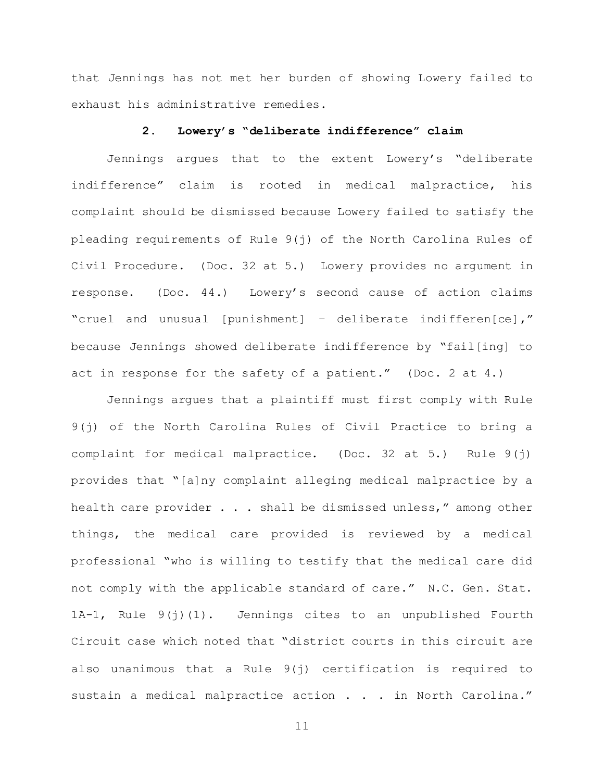that Jennings has not met her burden of showing Lowery failed to exhaust his administrative remedies.

## **2. Lowery's "deliberate indifference" claim**

Jennings argues that to the extent Lowery's "deliberate indifference" claim is rooted in medical malpractice, his complaint should be dismissed because Lowery failed to satisfy the pleading requirements of Rule 9(j) of the North Carolina Rules of Civil Procedure. (Doc. 32 at 5.) Lowery provides no argument in response. (Doc. 44.) Lowery's second cause of action claims "cruel and unusual [punishment] – deliberate indifferen[ce]," because Jennings showed deliberate indifference by "fail[ing] to act in response for the safety of a patient." (Doc. 2 at 4.)

Jennings argues that a plaintiff must first comply with Rule 9(j) of the North Carolina Rules of Civil Practice to bring a complaint for medical malpractice. (Doc. 32 at 5.) Rule 9(j) provides that "[a]ny complaint alleging medical malpractice by a health care provider . . . shall be dismissed unless," among other things, the medical care provided is reviewed by a medical professional "who is willing to testify that the medical care did not comply with the applicable standard of care." N.C. Gen. Stat. 1A-1, Rule 9(j)(1). Jennings cites to an unpublished Fourth Circuit case which noted that "district courts in this circuit are also unanimous that a Rule 9(j) certification is required to sustain a medical malpractice action . . . in North Carolina."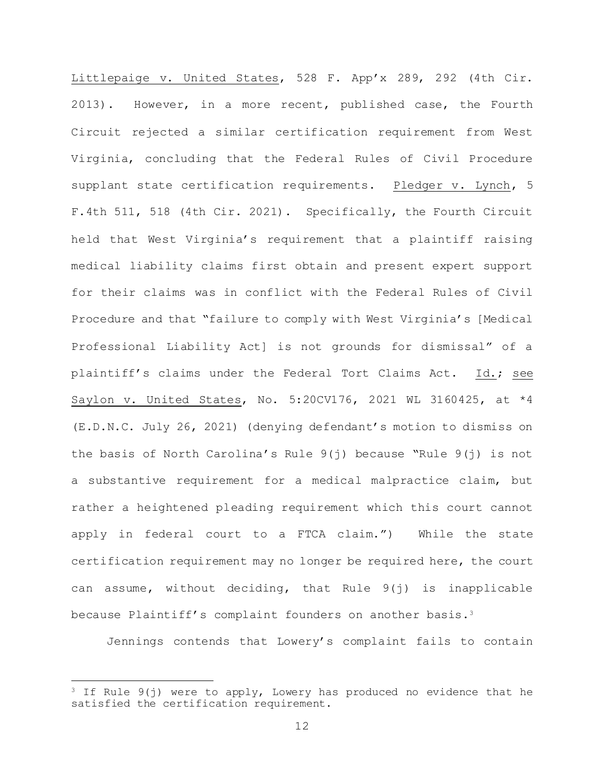Littlepaige v. United States, 528 F. App'x 289, 292 (4th Cir. 2013). However, in a more recent, published case, the Fourth Circuit rejected a similar certification requirement from West Virginia, concluding that the Federal Rules of Civil Procedure supplant state certification requirements. Pledger v. Lynch, 5 F.4th 511, 518 (4th Cir. 2021). Specifically, the Fourth Circuit held that West Virginia's requirement that a plaintiff raising medical liability claims first obtain and present expert support for their claims was in conflict with the Federal Rules of Civil Procedure and that "failure to comply with West Virginia's [Medical Professional Liability Act] is not grounds for dismissal" of a plaintiff's claims under the Federal Tort Claims Act. Id.; see Saylon v. United States, No. 5:20CV176, 2021 WL 3160425, at \*4 (E.D.N.C. July 26, 2021) (denying defendant's motion to dismiss on the basis of North Carolina's Rule 9(j) because "Rule 9(j) is not a substantive requirement for a medical malpractice claim, but rather a heightened pleading requirement which this court cannot apply in federal court to a FTCA claim.") While the state certification requirement may no longer be required here, the court can assume, without deciding, that Rule 9(j) is inapplicable because Plaintiff's complaint founders on another basis.<sup>3</sup>

Jennings contends that Lowery's complaint fails to contain

<sup>&</sup>lt;sup>3</sup> If Rule  $9(j)$  were to apply, Lowery has produced no evidence that he satisfied the certification requirement.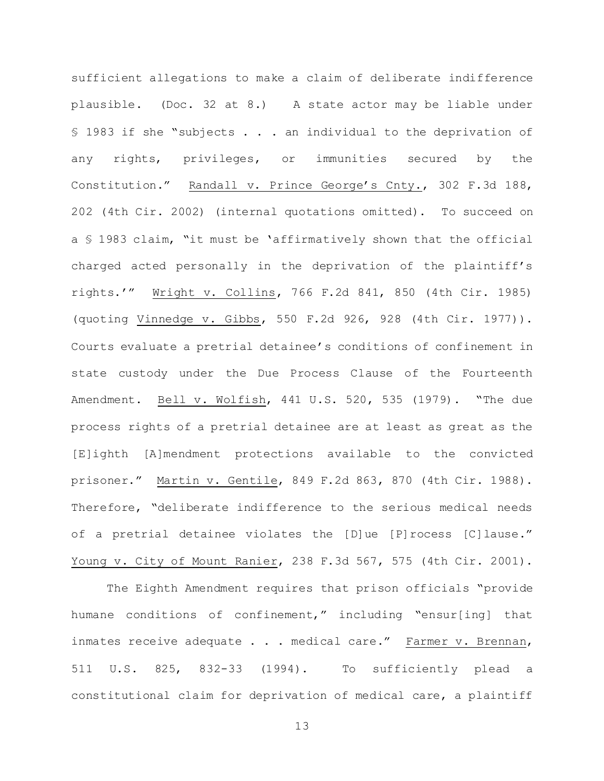sufficient allegations to make a claim of deliberate indifference plausible. (Doc. 32 at 8.) A state actor may be liable under § 1983 if she "subjects . . . an individual to the deprivation of any rights, privileges, or immunities secured by the Constitution." Randall v. Prince George's Cnty., 302 F.3d 188, 202 (4th Cir. 2002) (internal quotations omitted). To succeed on a § 1983 claim, "it must be 'affirmatively shown that the official charged acted personally in the deprivation of the plaintiff's rights.'" Wright v. Collins, 766 F.2d 841, 850 (4th Cir. 1985) (quoting Vinnedge v. Gibbs, 550 F.2d 926, 928 (4th Cir. 1977)). Courts evaluate a pretrial detainee's conditions of confinement in state custody under the Due Process Clause of the Fourteenth Amendment. Bell v. Wolfish, 441 U.S. 520, 535 (1979). "The due process rights of a pretrial detainee are at least as great as the [E]ighth [A]mendment protections available to the convicted prisoner." Martin v. Gentile, 849 F.2d 863, 870 (4th Cir. 1988). Therefore, "deliberate indifference to the serious medical needs of a pretrial detainee violates the [D]ue [P]rocess [C]lause." Young v. City of Mount Ranier, 238 F.3d 567, 575 (4th Cir. 2001).

The Eighth Amendment requires that prison officials "provide humane conditions of confinement," including "ensur[ing] that inmates receive adequate . . . medical care." Farmer v. Brennan, 511 U.S. 825, 832-33 (1994). To sufficiently plead a constitutional claim for deprivation of medical care, a plaintiff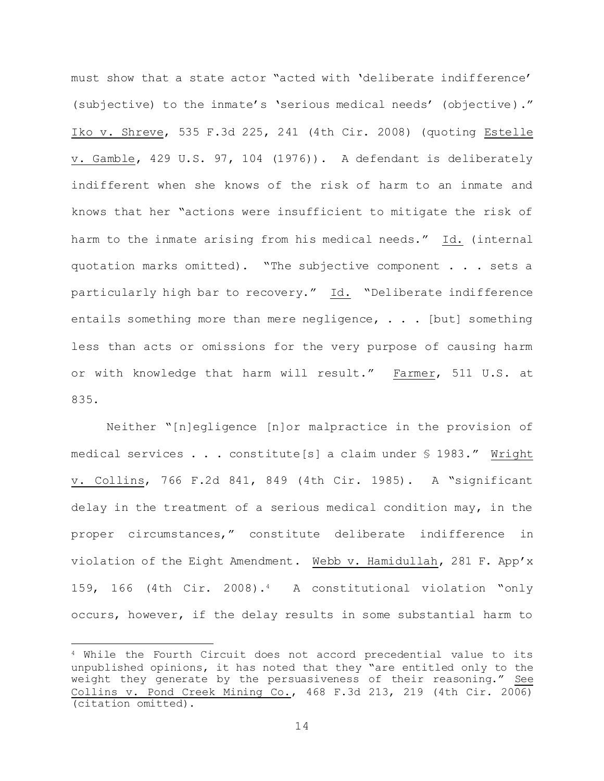must show that a state actor "acted with 'deliberate indifference' (subjective) to the inmate's 'serious medical needs' (objective)." Iko v. Shreve, 535 F.3d 225, 241 (4th Cir. 2008) (quoting Estelle v. Gamble, 429 U.S. 97, 104 (1976)). A defendant is deliberately indifferent when she knows of the risk of harm to an inmate and knows that her "actions were insufficient to mitigate the risk of harm to the inmate arising from his medical needs." Id. (internal quotation marks omitted). "The subjective component . . . sets a particularly high bar to recovery." Id. "Deliberate indifference entails something more than mere negligence,  $\ldots$  [but] something less than acts or omissions for the very purpose of causing harm or with knowledge that harm will result." Farmer, 511 U.S. at 835.

Neither "[n]egligence [n]or malpractice in the provision of medical services . . . constitute[s] a claim under § 1983." Wright v. Collins, 766 F.2d 841, 849 (4th Cir. 1985). A "significant delay in the treatment of a serious medical condition may, in the proper circumstances," constitute deliberate indifference in violation of the Eight Amendment. Webb v. Hamidullah, 281 F. App'x 159, 166 (4th Cir. 2008).<sup>4</sup> A constitutional violation "only occurs, however, if the delay results in some substantial harm to

<sup>4</sup> While the Fourth Circuit does not accord precedential value to its unpublished opinions, it has noted that they "are entitled only to the weight they generate by the persuasiveness of their reasoning." See Collins v. Pond Creek Mining Co., 468 F.3d 213, 219 (4th Cir. 2006) (citation omitted).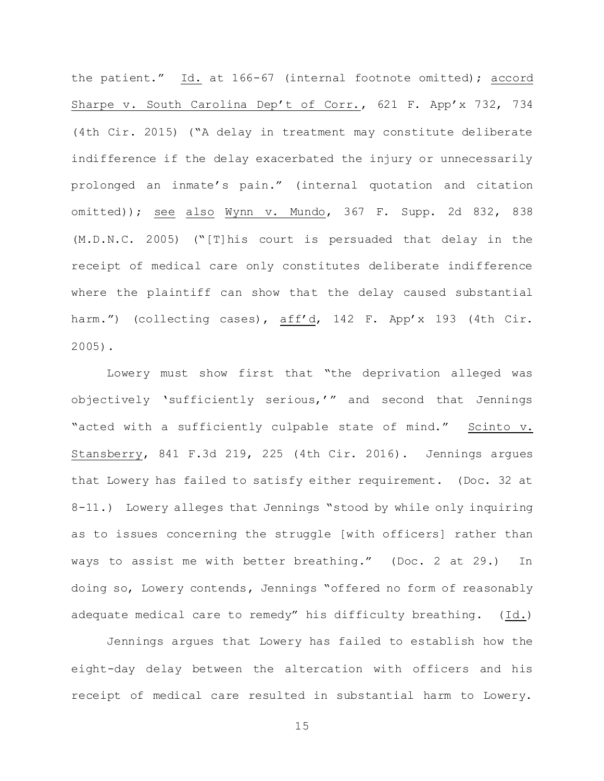the patient." Id. at 166-67 (internal footnote omitted); accord Sharpe v. South Carolina Dep't of Corr., 621 F. App'x 732, 734 (4th Cir. 2015) ("A delay in treatment may constitute deliberate indifference if the delay exacerbated the injury or unnecessarily prolonged an inmate's pain." (internal quotation and citation omitted)); see also Wynn v. Mundo, 367 F. Supp. 2d 832, 838 (M.D.N.C. 2005) ("[T]his court is persuaded that delay in the receipt of medical care only constitutes deliberate indifference where the plaintiff can show that the delay caused substantial harm.") (collecting cases), aff'd, 142 F. App'x 193 (4th Cir. 2005).

Lowery must show first that "the deprivation alleged was objectively 'sufficiently serious,'" and second that Jennings "acted with a sufficiently culpable state of mind." Scinto v. Stansberry, 841 F.3d 219, 225 (4th Cir. 2016). Jennings argues that Lowery has failed to satisfy either requirement. (Doc. 32 at 8-11.) Lowery alleges that Jennings "stood by while only inquiring as to issues concerning the struggle [with officers] rather than ways to assist me with better breathing." (Doc. 2 at 29.) In doing so, Lowery contends, Jennings "offered no form of reasonably adequate medical care to remedy" his difficulty breathing. (Id.)

Jennings argues that Lowery has failed to establish how the eight-day delay between the altercation with officers and his receipt of medical care resulted in substantial harm to Lowery.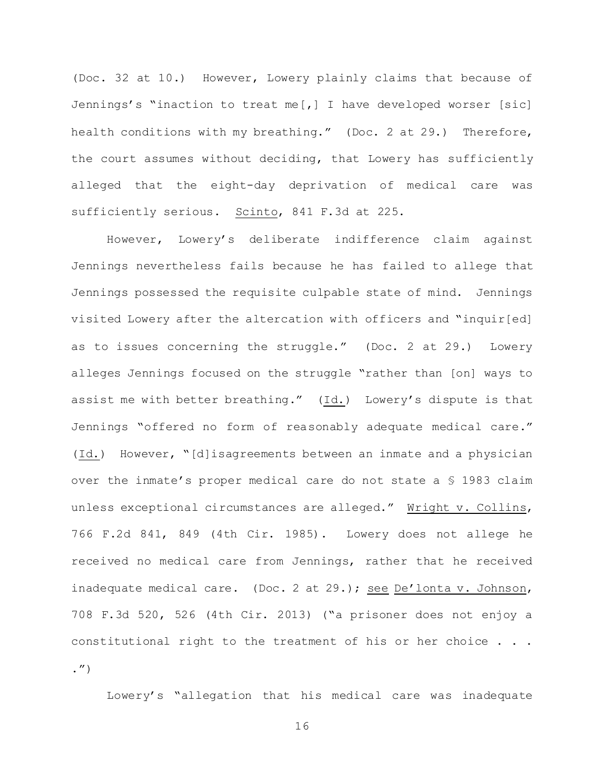(Doc. 32 at 10.) However, Lowery plainly claims that because of Jennings's "inaction to treat me[,] I have developed worser [sic] health conditions with my breathing." (Doc. 2 at 29.) Therefore, the court assumes without deciding, that Lowery has sufficiently alleged that the eight-day deprivation of medical care was sufficiently serious. Scinto, 841 F.3d at 225.

However, Lowery's deliberate indifference claim against Jennings nevertheless fails because he has failed to allege that Jennings possessed the requisite culpable state of mind. Jennings visited Lowery after the altercation with officers and "inquir[ed] as to issues concerning the struggle." (Doc. 2 at 29.) Lowery alleges Jennings focused on the struggle "rather than [on] ways to assist me with better breathing."  $(\underline{Id.})$  Lowery's dispute is that Jennings "offered no form of reasonably adequate medical care." (Id.) However, "[d]isagreements between an inmate and a physician over the inmate's proper medical care do not state a § 1983 claim unless exceptional circumstances are alleged." Wright v. Collins, 766 F.2d 841, 849 (4th Cir. 1985). Lowery does not allege he received no medical care from Jennings, rather that he received inadequate medical care. (Doc. 2 at 29.); see De'lonta v. Johnson, 708 F.3d 520, 526 (4th Cir. 2013) ("a prisoner does not enjoy a constitutional right to the treatment of his or her choice . . . .")

Lowery's "allegation that his medical care was inadequate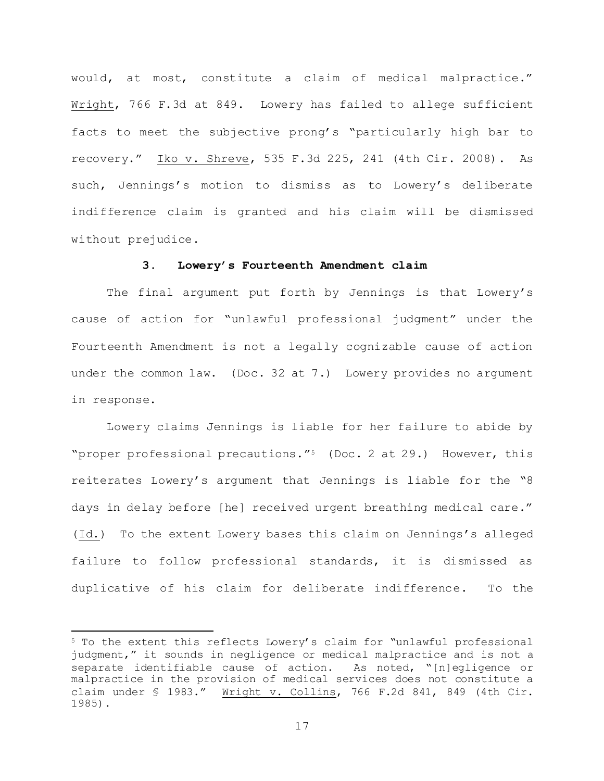would, at most, constitute a claim of medical malpractice." Wright, 766 F.3d at 849. Lowery has failed to allege sufficient facts to meet the subjective prong's "particularly high bar to recovery." Iko v. Shreve, 535 F.3d 225, 241 (4th Cir. 2008). As such, Jennings's motion to dismiss as to Lowery's deliberate indifference claim is granted and his claim will be dismissed without prejudice.

### **3. Lowery's Fourteenth Amendment claim**

The final argument put forth by Jennings is that Lowery's cause of action for "unlawful professional judgment" under the Fourteenth Amendment is not a legally cognizable cause of action under the common law. (Doc. 32 at 7.) Lowery provides no argument in response.

Lowery claims Jennings is liable for her failure to abide by "proper professional precautions."<sup>5</sup> (Doc. 2 at 29.) However, this reiterates Lowery's argument that Jennings is liable for the "8 days in delay before [he] received urgent breathing medical care." (Id.) To the extent Lowery bases this claim on Jennings's alleged failure to follow professional standards, it is dismissed as duplicative of his claim for deliberate indifference. To the

<sup>5</sup> To the extent this reflects Lowery's claim for "unlawful professional judgment," it sounds in negligence or medical malpractice and is not a separate identifiable cause of action. As noted, "[n]egligence or malpractice in the provision of medical services does not constitute a claim under § 1983." Wright v. Collins, 766 F.2d 841, 849 (4th Cir. 1985).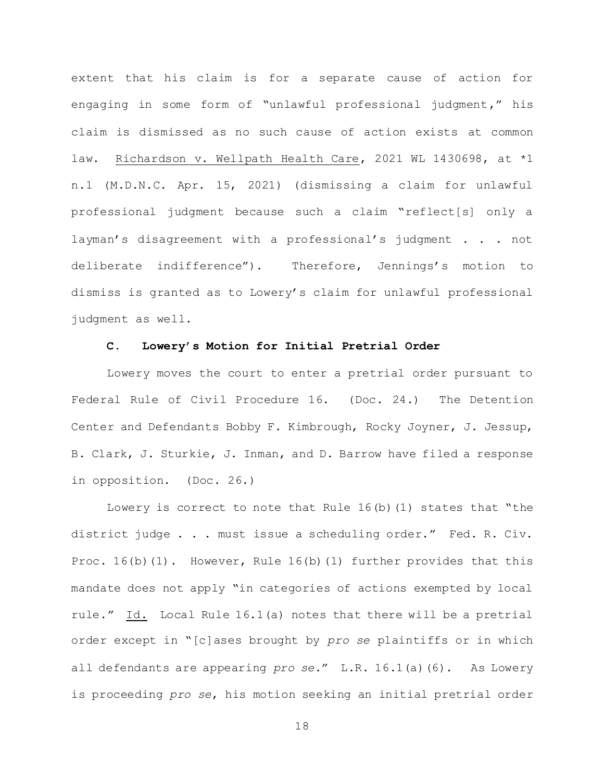extent that his claim is for a separate cause of action for engaging in some form of "unlawful professional judgment," his claim is dismissed as no such cause of action exists at common law. Richardson v. Wellpath Health Care, 2021 WL 1430698, at \*1 n.1 (M.D.N.C. Apr. 15, 2021) (dismissing a claim for unlawful professional judgment because such a claim "reflect[s] only a layman's disagreement with a professional's judgment . . . not deliberate indifference"). Therefore, Jennings's motion to dismiss is granted as to Lowery's claim for unlawful professional judgment as well.

### **C. Lowery's Motion for Initial Pretrial Order**

Lowery moves the court to enter a pretrial order pursuant to Federal Rule of Civil Procedure 16. (Doc. 24.) The Detention Center and Defendants Bobby F. Kimbrough, Rocky Joyner, J. Jessup, B. Clark, J. Sturkie, J. Inman, and D. Barrow have filed a response in opposition. (Doc. 26.)

Lowery is correct to note that Rule  $16(b)(1)$  states that "the district judge . . . must issue a scheduling order." Fed. R. Civ. Proc.  $16(b)(1)$ . However, Rule  $16(b)(1)$  further provides that this mandate does not apply "in categories of actions exempted by local rule." Id. Local Rule 16.1(a) notes that there will be a pretrial order except in "[c]ases brought by *pro se* plaintiffs or in which all defendants are appearing *pro se*." L.R. 16.1(a)(6). As Lowery is proceeding *pro se*, his motion seeking an initial pretrial order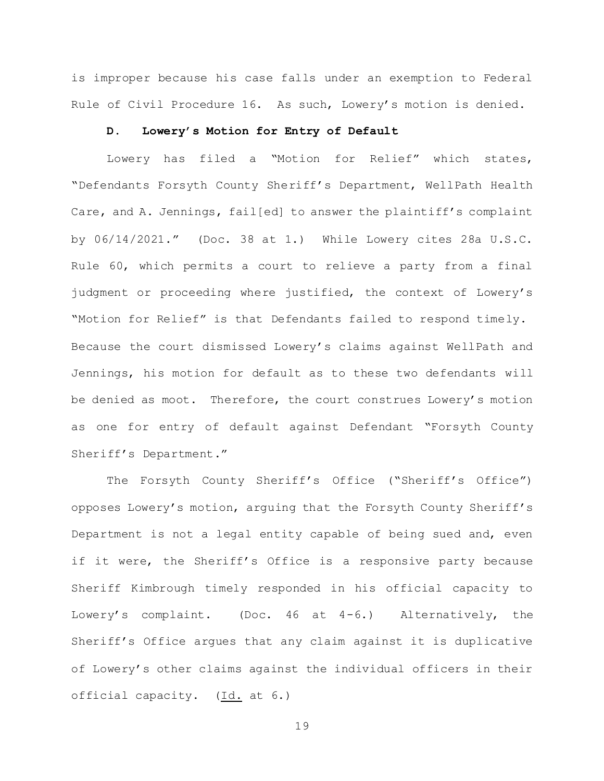is improper because his case falls under an exemption to Federal Rule of Civil Procedure 16. As such, Lowery's motion is denied.

## **D. Lowery's Motion for Entry of Default**

Lowery has filed a "Motion for Relief" which states, "Defendants Forsyth County Sheriff's Department, WellPath Health Care, and A. Jennings, fail[ed] to answer the plaintiff's complaint by 06/14/2021." (Doc. 38 at 1.) While Lowery cites 28a U.S.C. Rule 60, which permits a court to relieve a party from a final judgment or proceeding where justified, the context of Lowery's "Motion for Relief" is that Defendants failed to respond timely. Because the court dismissed Lowery's claims against WellPath and Jennings, his motion for default as to these two defendants will be denied as moot. Therefore, the court construes Lowery's motion as one for entry of default against Defendant "Forsyth County Sheriff's Department."

The Forsyth County Sheriff's Office ("Sheriff's Office") opposes Lowery's motion, arguing that the Forsyth County Sheriff's Department is not a legal entity capable of being sued and, even if it were, the Sheriff's Office is a responsive party because Sheriff Kimbrough timely responded in his official capacity to Lowery's complaint. (Doc. 46 at 4-6.) Alternatively, the Sheriff's Office argues that any claim against it is duplicative of Lowery's other claims against the individual officers in their official capacity. (Id. at 6.)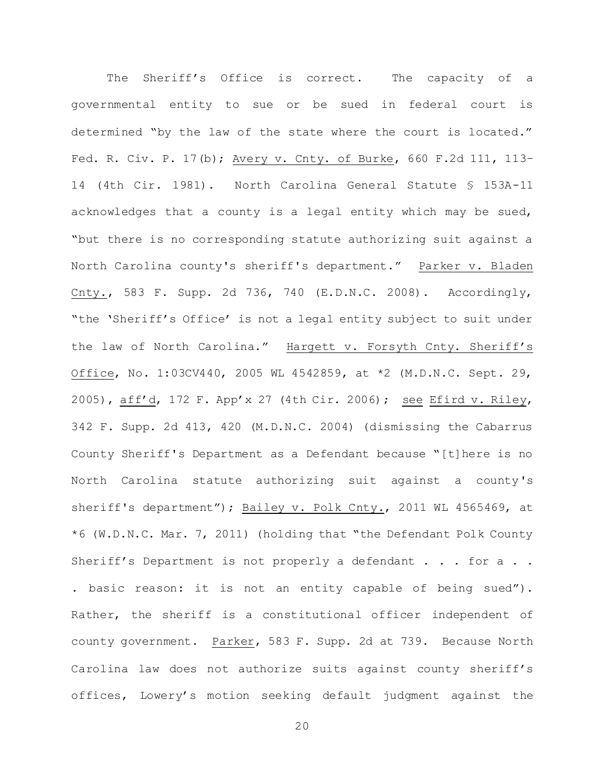The Sheriff's Office is correct. The capacity of a governmental entity to sue or be sued in federal court is determined "by the law of the state where the court is located." Fed. R. Civ. P. 17(b); Avery v. Cnty. of Burke, 660 F.2d 111, 113– 14 (4th Cir. 1981). North Carolina General Statute § 153A-11 acknowledges that a county is a legal entity which may be sued, "but there is no corresponding statute authorizing suit against a North Carolina county's sheriff's department." Parker v. Bladen Cnty., 583 F. Supp. 2d 736, 740 (E.D.N.C. 2008). Accordingly, "the 'Sheriff's Office' is not a legal entity subject to suit under the law of North Carolina." Hargett v. Forsyth Cnty. Sheriff's Office, No. 1:03CV440, 2005 WL 4542859, at \*2 (M.D.N.C. Sept. 29, 2005), aff'd, 172 F. App'x 27 (4th Cir. 2006); see Efird v. Riley, 342 F. Supp. 2d 413, 420 (M.D.N.C. 2004) (dismissing the Cabarrus County Sheriff's Department as a Defendant because "[t]here is no North Carolina statute authorizing suit against a county's sheriff's department"); Bailey v. Polk Cnty., 2011 WL 4565469, at \*6 (W.D.N.C. Mar. 7, 2011) (holding that "the Defendant Polk County Sheriff's Department is not properly a defendant . . . for a . . . basic reason: it is not an entity capable of being sued"). Rather, the sheriff is a constitutional officer independent of county government. Parker, 583 F. Supp. 2d at 739. Because North Carolina law does not authorize suits against county sheriff's offices, Lowery's motion seeking default judgment against the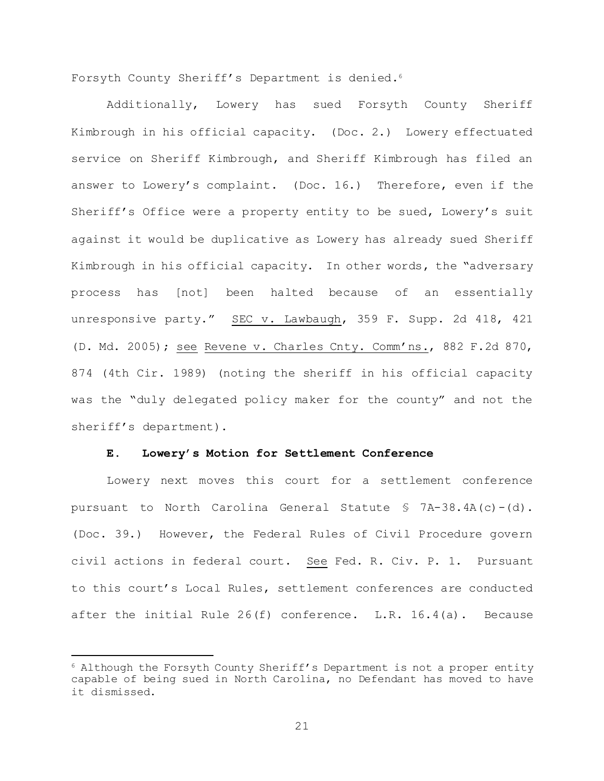Forsyth County Sheriff's Department is denied.<sup>6</sup>

Additionally, Lowery has sued Forsyth County Sheriff Kimbrough in his official capacity. (Doc. 2.) Lowery effectuated service on Sheriff Kimbrough, and Sheriff Kimbrough has filed an answer to Lowery's complaint. (Doc. 16.) Therefore, even if the Sheriff's Office were a property entity to be sued, Lowery's suit against it would be duplicative as Lowery has already sued Sheriff Kimbrough in his official capacity. In other words, the "adversary process has [not] been halted because of an essentially unresponsive party." SEC v. Lawbaugh, 359 F. Supp. 2d 418, 421 (D. Md. 2005); see Revene v. Charles Cnty. Comm'ns., 882 F.2d 870, 874 (4th Cir. 1989) (noting the sheriff in his official capacity was the "duly delegated policy maker for the county" and not the sheriff's department).

### **E. Lowery's Motion for Settlement Conference**

Lowery next moves this court for a settlement conference pursuant to North Carolina General Statute § 7A-38.4A(c)-(d). (Doc. 39.) However, the Federal Rules of Civil Procedure govern civil actions in federal court. See Fed. R. Civ. P. 1. Pursuant to this court's Local Rules, settlement conferences are conducted after the initial Rule  $26(f)$  conference. L.R.  $16.4(a)$ . Because

<sup>6</sup> Although the Forsyth County Sheriff's Department is not a proper entity capable of being sued in North Carolina, no Defendant has moved to have it dismissed.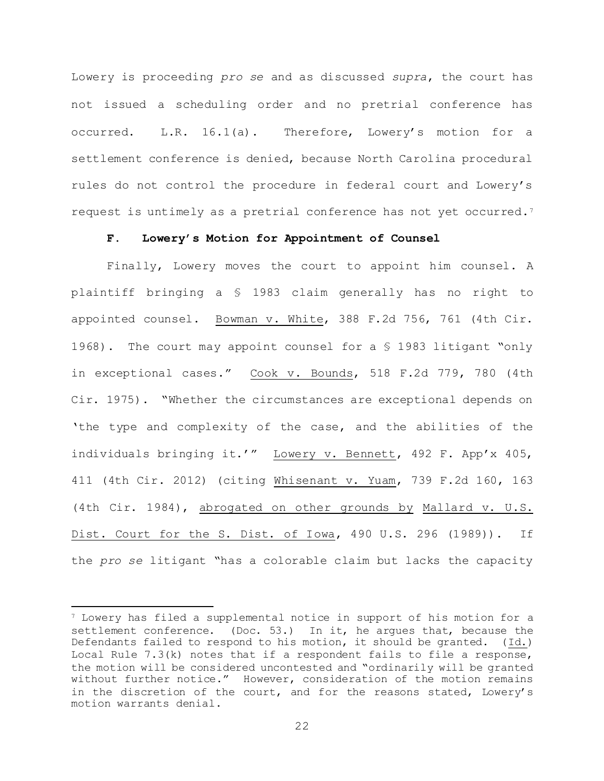Lowery is proceeding *pro se* and as discussed *supra*, the court has not issued a scheduling order and no pretrial conference has occurred. L.R. 16.1(a). Therefore, Lowery's motion for a settlement conference is denied, because North Carolina procedural rules do not control the procedure in federal court and Lowery's request is untimely as a pretrial conference has not yet occurred.<sup>7</sup>

# **F. Lowery's Motion for Appointment of Counsel**

Finally, Lowery moves the court to appoint him counsel. A plaintiff bringing a § 1983 claim generally has no right to appointed counsel. Bowman v. White, 388 F.2d 756, 761 (4th Cir. 1968). The court may appoint counsel for a § 1983 litigant "only in exceptional cases." Cook v. Bounds, 518 F.2d 779, 780 (4th Cir. 1975). "Whether the circumstances are exceptional depends on 'the type and complexity of the case, and the abilities of the individuals bringing it.'" Lowery v. Bennett, 492 F. App'x 405, 411 (4th Cir. 2012) (citing Whisenant v. Yuam, 739 F.2d 160, 163 (4th Cir. 1984), abrogated on other grounds by Mallard v. U.S. Dist. Court for the S. Dist. of Iowa, 490 U.S. 296 (1989)). If the *pro se* litigant "has a colorable claim but lacks the capacity

<sup>7</sup> Lowery has filed a supplemental notice in support of his motion for a settlement conference. (Doc. 53.) In it, he argues that, because the Defendants failed to respond to his motion, it should be granted. (Id.) Local Rule  $7.3(k)$  notes that if a respondent fails to file a response, the motion will be considered uncontested and "ordinarily will be granted without further notice." However, consideration of the motion remains in the discretion of the court, and for the reasons stated, Lowery's motion warrants denial.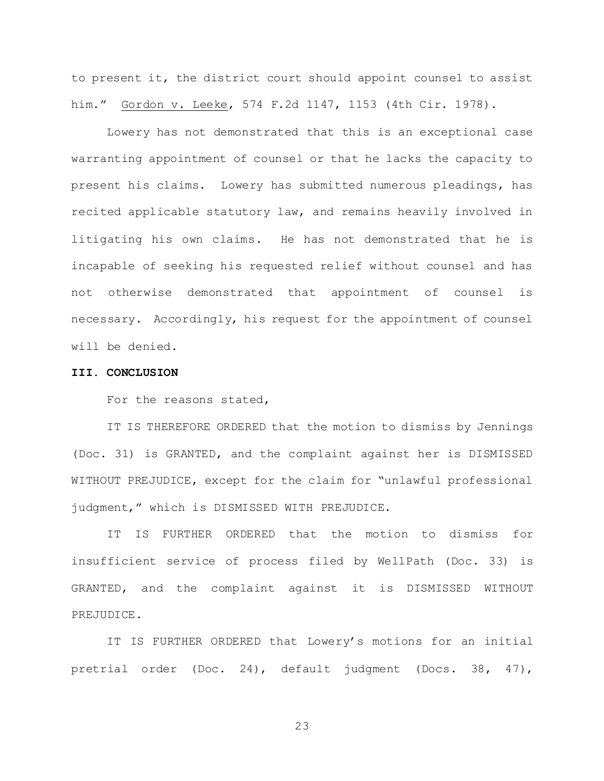to present it, the district court should appoint counsel to assist him." Gordon v. Leeke, 574 F.2d 1147, 1153 (4th Cir. 1978).

Lowery has not demonstrated that this is an exceptional case warranting appointment of counsel or that he lacks the capacity to present his claims. Lowery has submitted numerous pleadings, has recited applicable statutory law, and remains heavily involved in litigating his own claims. He has not demonstrated that he is incapable of seeking his requested relief without counsel and has not otherwise demonstrated that appointment of counsel is necessary. Accordingly, his request for the appointment of counsel will be denied.

#### **III. CONCLUSION**

For the reasons stated,

IT IS THEREFORE ORDERED that the motion to dismiss by Jennings (Doc. 31) is GRANTED, and the complaint against her is DISMISSED WITHOUT PREJUDICE, except for the claim for "unlawful professional judgment," which is DISMISSED WITH PREJUDICE.

IT IS FURTHER ORDERED that the motion to dismiss for insufficient service of process filed by WellPath (Doc. 33) is GRANTED, and the complaint against it is DISMISSED WITHOUT PREJUDICE.

IT IS FURTHER ORDERED that Lowery's motions for an initial pretrial order (Doc. 24), default judgment (Docs. 38, 47),